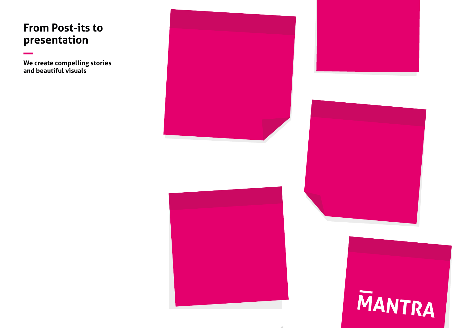## **From Post-its to presentation**

**We create compelling stories and beautiful visuals**







# MANTRA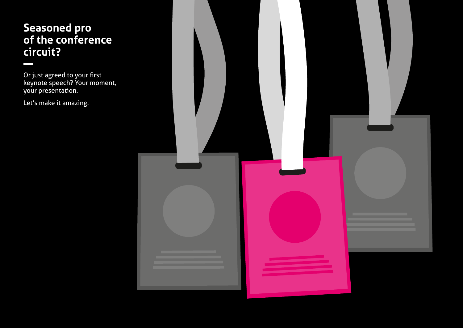## **Seasoned pro of the conference circuit?**

Or just agreed to your first keynote speech? Your moment, your presentation.

Let's make it amazing.

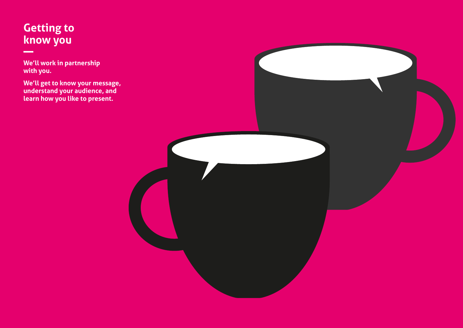## **Getting to know you**

 $\sim$ 

**We'll work in partnership with you.** 

**We'll get to know your message, understand your audience, and learn how you like to present.** 

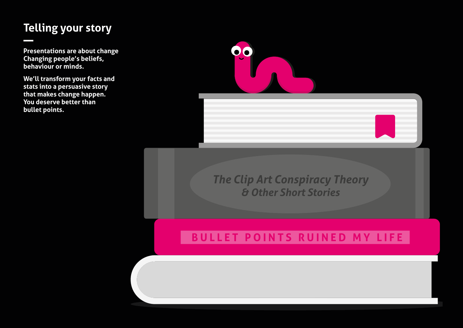## **Telling your story**

**Presentations are about change Changing people's beliefs, behaviour or minds.**

**We'll transform your facts and stats into a persuasive story that makes change happen. You deserve better than bullet points.**



*The Clip Art Conspiracy Theory & Other Short Stories*

## **BULLET POINTS RUINED MY LIFE**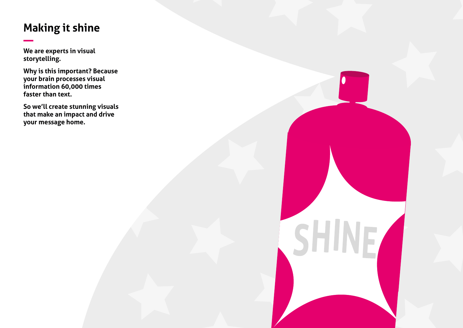## **Making it shine**

**We are experts in visual storytelling.**

**Why is this important? Because your brain processes visual information 60,000 times faster than text.**

**So we'll create stunning visuals that make an impact and drive your message home.**

SH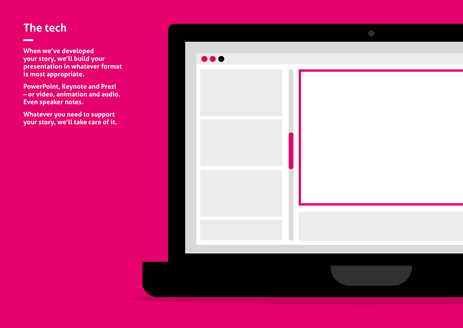## **The tech**

\_

**When we've developed your story, we'll build your presentation in whatever format is most appropriate.** 

**PowerPoint, Keynote and Prezi – or video, animation and audio. Even speaker notes.**

**Whatever you need to support your story, we'll take care of it.**

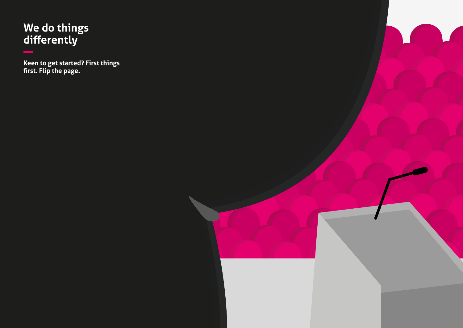## **We do things differently**

**Keen to get started? First things first. Flip the page.**